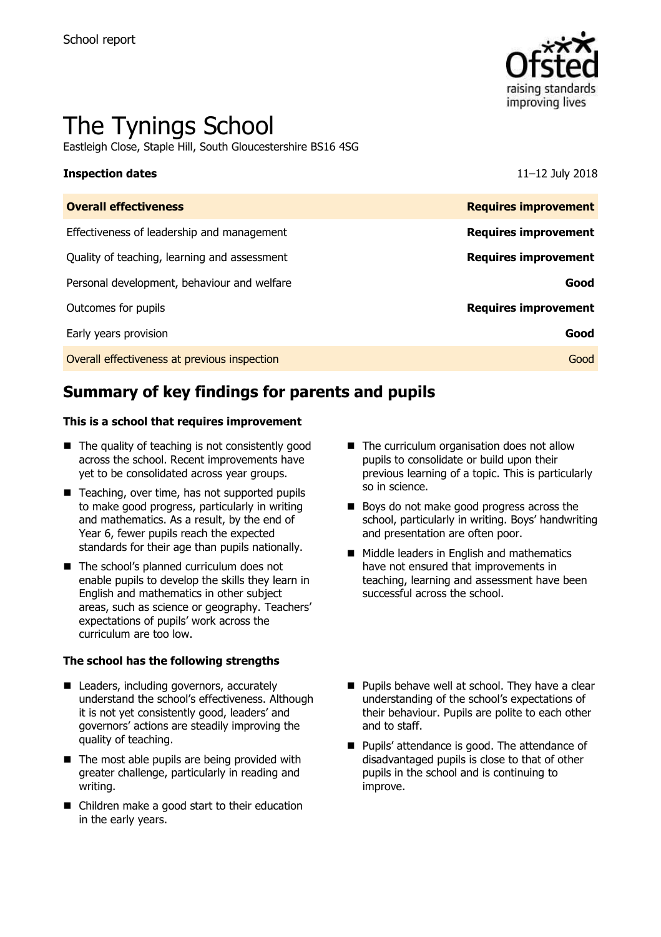

# The Tynings School

Eastleigh Close, Staple Hill, South Gloucestershire BS16 4SG

### **Inspection dates** 11–12 July 2018

| <b>Overall effectiveness</b>                 | <b>Requires improvement</b> |
|----------------------------------------------|-----------------------------|
| Effectiveness of leadership and management   | <b>Requires improvement</b> |
| Quality of teaching, learning and assessment | <b>Requires improvement</b> |
| Personal development, behaviour and welfare  | Good                        |
| Outcomes for pupils                          | <b>Requires improvement</b> |
| Early years provision                        | Good                        |
| Overall effectiveness at previous inspection | Good                        |
|                                              |                             |

# **Summary of key findings for parents and pupils**

### **This is a school that requires improvement**

- $\blacksquare$  The quality of teaching is not consistently good across the school. Recent improvements have yet to be consolidated across year groups.
- Teaching, over time, has not supported pupils to make good progress, particularly in writing and mathematics. As a result, by the end of Year 6, fewer pupils reach the expected standards for their age than pupils nationally.
- The school's planned curriculum does not enable pupils to develop the skills they learn in English and mathematics in other subject areas, such as science or geography. Teachers' expectations of pupils' work across the curriculum are too low.

### **The school has the following strengths**

- Leaders, including governors, accurately understand the school's effectiveness. Although it is not yet consistently good, leaders' and governors' actions are steadily improving the quality of teaching.
- $\blacksquare$  The most able pupils are being provided with greater challenge, particularly in reading and writing.
- Children make a good start to their education in the early years.
- The curriculum organisation does not allow pupils to consolidate or build upon their previous learning of a topic. This is particularly so in science.
- Boys do not make good progress across the school, particularly in writing. Boys' handwriting and presentation are often poor.
- **Middle leaders in English and mathematics** have not ensured that improvements in teaching, learning and assessment have been successful across the school.
- $\blacksquare$  Pupils behave well at school. They have a clear understanding of the school's expectations of their behaviour. Pupils are polite to each other and to staff.
- **Pupils' attendance is good. The attendance of** disadvantaged pupils is close to that of other pupils in the school and is continuing to improve.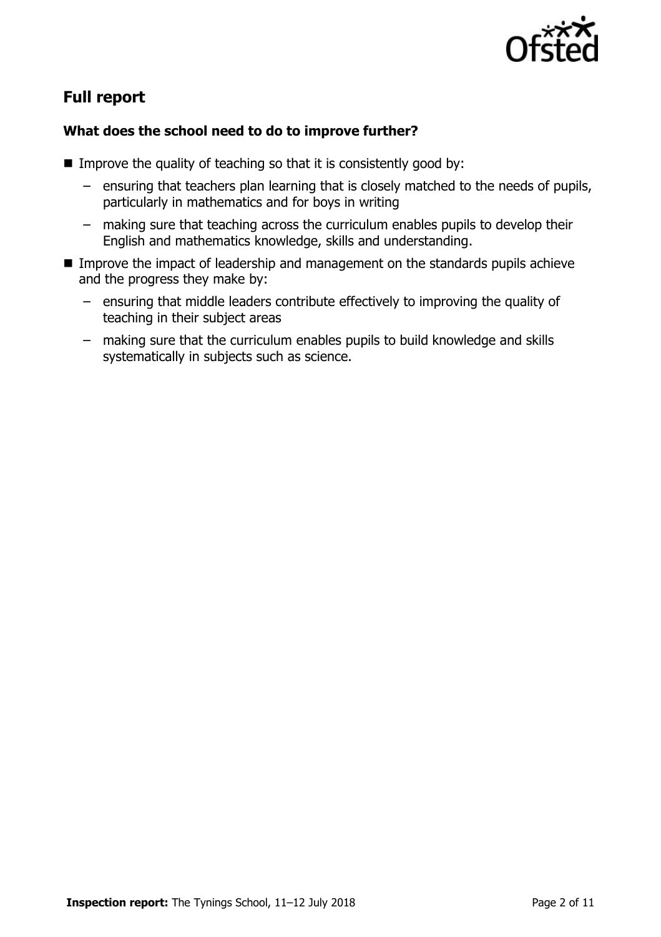

# **Full report**

### **What does the school need to do to improve further?**

- Improve the quality of teaching so that it is consistently good by:
	- ensuring that teachers plan learning that is closely matched to the needs of pupils, particularly in mathematics and for boys in writing
	- making sure that teaching across the curriculum enables pupils to develop their English and mathematics knowledge, skills and understanding.
- **IMPROVE the impact of leadership and management on the standards pupils achieve** and the progress they make by:
	- ensuring that middle leaders contribute effectively to improving the quality of teaching in their subject areas
	- making sure that the curriculum enables pupils to build knowledge and skills systematically in subjects such as science.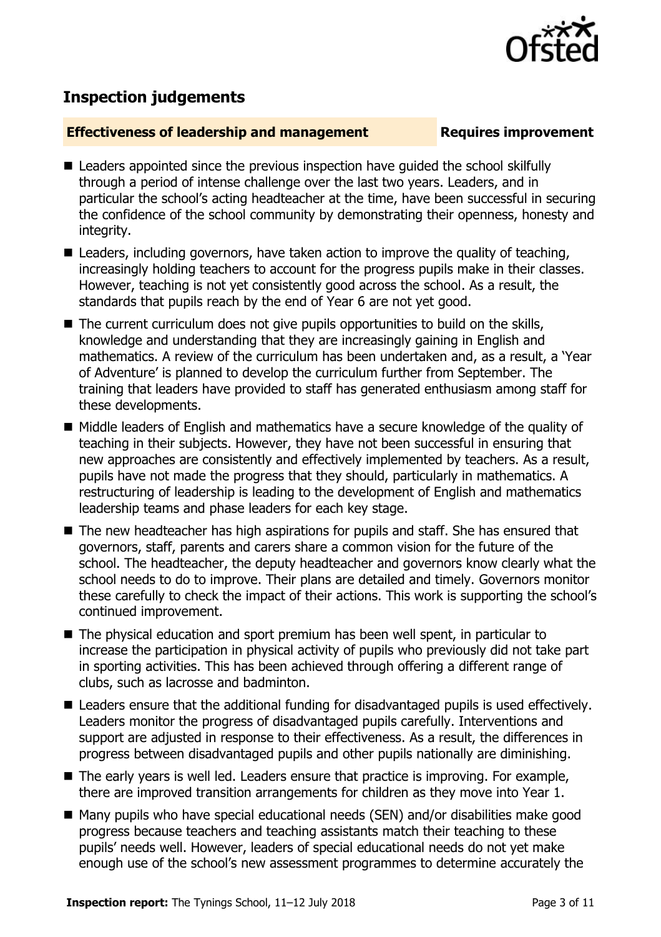

## **Inspection judgements**

### **Effectiveness of leadership and management Requires improvement**

- Leaders appointed since the previous inspection have quided the school skilfully through a period of intense challenge over the last two years. Leaders, and in particular the school's acting headteacher at the time, have been successful in securing the confidence of the school community by demonstrating their openness, honesty and integrity.
- Leaders, including governors, have taken action to improve the quality of teaching, increasingly holding teachers to account for the progress pupils make in their classes. However, teaching is not yet consistently good across the school. As a result, the standards that pupils reach by the end of Year 6 are not yet good.
- $\blacksquare$  The current curriculum does not give pupils opportunities to build on the skills, knowledge and understanding that they are increasingly gaining in English and mathematics. A review of the curriculum has been undertaken and, as a result, a 'Year of Adventure' is planned to develop the curriculum further from September. The training that leaders have provided to staff has generated enthusiasm among staff for these developments.
- Middle leaders of English and mathematics have a secure knowledge of the quality of teaching in their subjects. However, they have not been successful in ensuring that new approaches are consistently and effectively implemented by teachers. As a result, pupils have not made the progress that they should, particularly in mathematics. A restructuring of leadership is leading to the development of English and mathematics leadership teams and phase leaders for each key stage.
- The new headteacher has high aspirations for pupils and staff. She has ensured that governors, staff, parents and carers share a common vision for the future of the school. The headteacher, the deputy headteacher and governors know clearly what the school needs to do to improve. Their plans are detailed and timely. Governors monitor these carefully to check the impact of their actions. This work is supporting the school's continued improvement.
- The physical education and sport premium has been well spent, in particular to increase the participation in physical activity of pupils who previously did not take part in sporting activities. This has been achieved through offering a different range of clubs, such as lacrosse and badminton.
- Leaders ensure that the additional funding for disadvantaged pupils is used effectively. Leaders monitor the progress of disadvantaged pupils carefully. Interventions and support are adjusted in response to their effectiveness. As a result, the differences in progress between disadvantaged pupils and other pupils nationally are diminishing.
- The early years is well led. Leaders ensure that practice is improving. For example, there are improved transition arrangements for children as they move into Year 1.
- Many pupils who have special educational needs (SEN) and/or disabilities make good progress because teachers and teaching assistants match their teaching to these pupils' needs well. However, leaders of special educational needs do not yet make enough use of the school's new assessment programmes to determine accurately the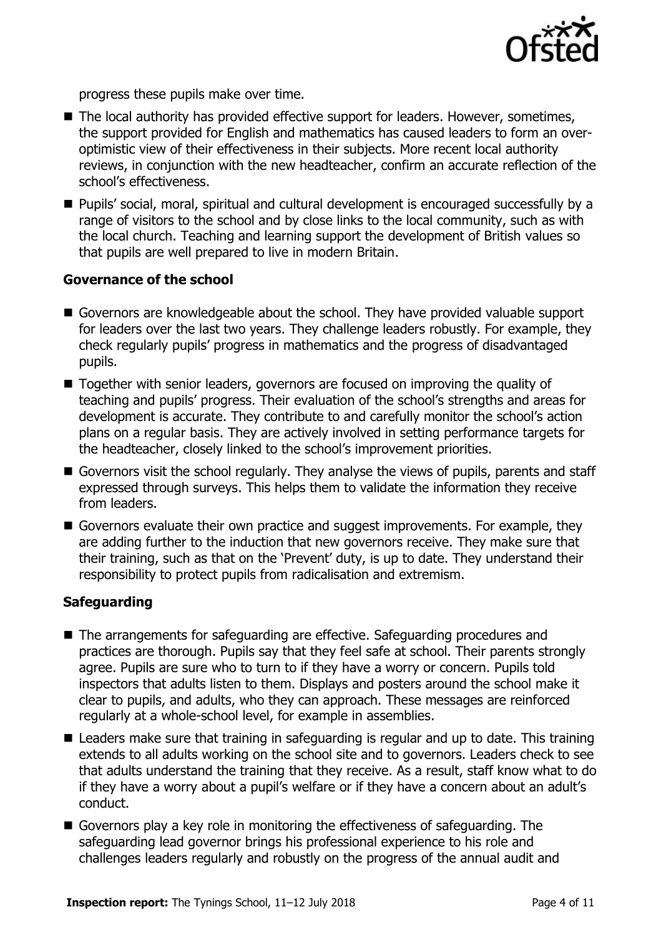

progress these pupils make over time.

- The local authority has provided effective support for leaders. However, sometimes, the support provided for English and mathematics has caused leaders to form an overoptimistic view of their effectiveness in their subjects. More recent local authority reviews, in conjunction with the new headteacher, confirm an accurate reflection of the school's effectiveness.
- Pupils' social, moral, spiritual and cultural development is encouraged successfully by a range of visitors to the school and by close links to the local community, such as with the local church. Teaching and learning support the development of British values so that pupils are well prepared to live in modern Britain.

### **Governance of the school**

- Governors are knowledgeable about the school. They have provided valuable support for leaders over the last two years. They challenge leaders robustly. For example, they check regularly pupils' progress in mathematics and the progress of disadvantaged pupils.
- Together with senior leaders, governors are focused on improving the quality of teaching and pupils' progress. Their evaluation of the school's strengths and areas for development is accurate. They contribute to and carefully monitor the school's action plans on a regular basis. They are actively involved in setting performance targets for the headteacher, closely linked to the school's improvement priorities.
- Governors visit the school regularly. They analyse the views of pupils, parents and staff expressed through surveys. This helps them to validate the information they receive from leaders.
- Governors evaluate their own practice and suggest improvements. For example, they are adding further to the induction that new governors receive. They make sure that their training, such as that on the 'Prevent' duty, is up to date. They understand their responsibility to protect pupils from radicalisation and extremism.

### **Safeguarding**

- The arrangements for safeguarding are effective. Safeguarding procedures and practices are thorough. Pupils say that they feel safe at school. Their parents strongly agree. Pupils are sure who to turn to if they have a worry or concern. Pupils told inspectors that adults listen to them. Displays and posters around the school make it clear to pupils, and adults, who they can approach. These messages are reinforced regularly at a whole-school level, for example in assemblies.
- Leaders make sure that training in safeguarding is regular and up to date. This training extends to all adults working on the school site and to governors. Leaders check to see that adults understand the training that they receive. As a result, staff know what to do if they have a worry about a pupil's welfare or if they have a concern about an adult's conduct.
- Governors play a key role in monitoring the effectiveness of safeguarding. The safeguarding lead governor brings his professional experience to his role and challenges leaders regularly and robustly on the progress of the annual audit and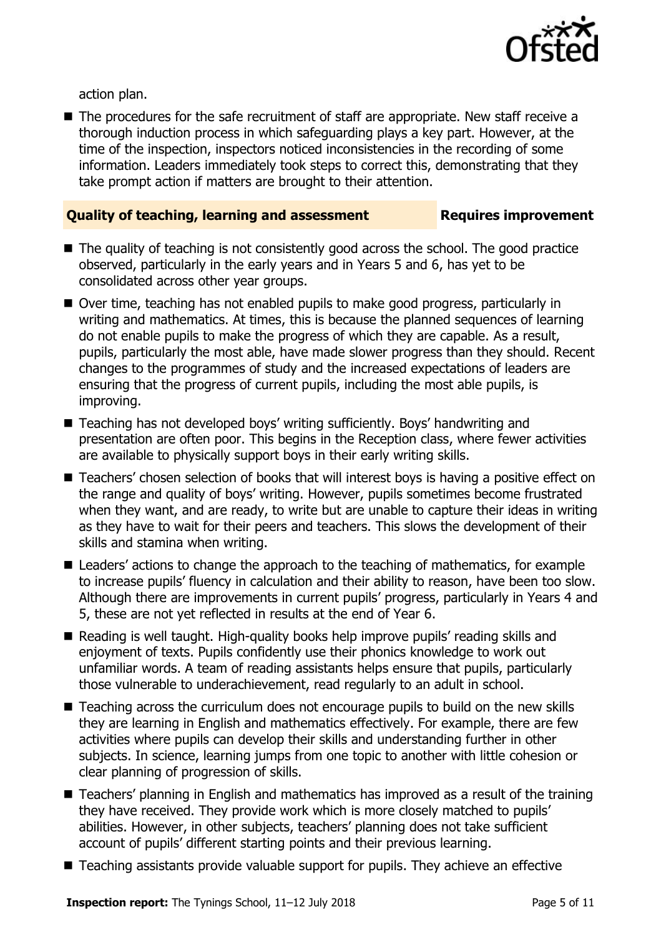

action plan.

■ The procedures for the safe recruitment of staff are appropriate. New staff receive a thorough induction process in which safeguarding plays a key part. However, at the time of the inspection, inspectors noticed inconsistencies in the recording of some information. Leaders immediately took steps to correct this, demonstrating that they take prompt action if matters are brought to their attention.

### **Quality of teaching, learning and assessment Requires improvement**

- $\blacksquare$  The quality of teaching is not consistently good across the school. The good practice observed, particularly in the early years and in Years 5 and 6, has yet to be consolidated across other year groups.
- Over time, teaching has not enabled pupils to make good progress, particularly in writing and mathematics. At times, this is because the planned sequences of learning do not enable pupils to make the progress of which they are capable. As a result, pupils, particularly the most able, have made slower progress than they should. Recent changes to the programmes of study and the increased expectations of leaders are ensuring that the progress of current pupils, including the most able pupils, is improving.
- Teaching has not developed boys' writing sufficiently. Boys' handwriting and presentation are often poor. This begins in the Reception class, where fewer activities are available to physically support boys in their early writing skills.
- Teachers' chosen selection of books that will interest boys is having a positive effect on the range and quality of boys' writing. However, pupils sometimes become frustrated when they want, and are ready, to write but are unable to capture their ideas in writing as they have to wait for their peers and teachers. This slows the development of their skills and stamina when writing.
- Leaders' actions to change the approach to the teaching of mathematics, for example to increase pupils' fluency in calculation and their ability to reason, have been too slow. Although there are improvements in current pupils' progress, particularly in Years 4 and 5, these are not yet reflected in results at the end of Year 6.
- Reading is well taught. High-quality books help improve pupils' reading skills and enjoyment of texts. Pupils confidently use their phonics knowledge to work out unfamiliar words. A team of reading assistants helps ensure that pupils, particularly those vulnerable to underachievement, read regularly to an adult in school.
- Teaching across the curriculum does not encourage pupils to build on the new skills they are learning in English and mathematics effectively. For example, there are few activities where pupils can develop their skills and understanding further in other subjects. In science, learning jumps from one topic to another with little cohesion or clear planning of progression of skills.
- Teachers' planning in English and mathematics has improved as a result of the training they have received. They provide work which is more closely matched to pupils' abilities. However, in other subjects, teachers' planning does not take sufficient account of pupils' different starting points and their previous learning.
- Teaching assistants provide valuable support for pupils. They achieve an effective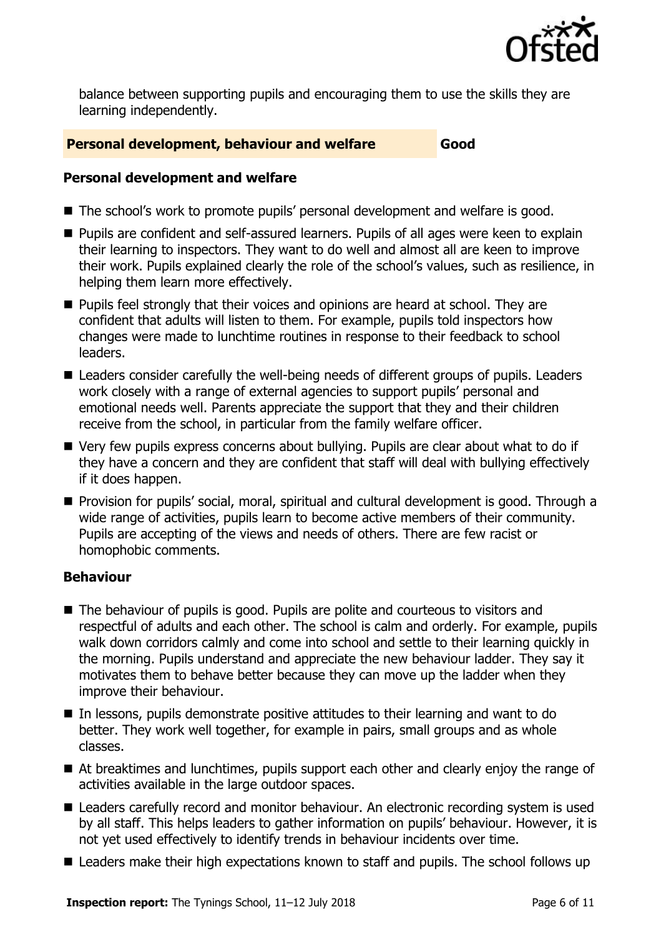

balance between supporting pupils and encouraging them to use the skills they are learning independently.

### **Personal development, behaviour and welfare Good**

### **Personal development and welfare**

- The school's work to promote pupils' personal development and welfare is good.
- **Pupils are confident and self-assured learners. Pupils of all ages were keen to explain** their learning to inspectors. They want to do well and almost all are keen to improve their work. Pupils explained clearly the role of the school's values, such as resilience, in helping them learn more effectively.
- **Pupils feel strongly that their voices and opinions are heard at school. They are** confident that adults will listen to them. For example, pupils told inspectors how changes were made to lunchtime routines in response to their feedback to school leaders.
- Leaders consider carefully the well-being needs of different groups of pupils. Leaders work closely with a range of external agencies to support pupils' personal and emotional needs well. Parents appreciate the support that they and their children receive from the school, in particular from the family welfare officer.
- Very few pupils express concerns about bullying. Pupils are clear about what to do if they have a concern and they are confident that staff will deal with bullying effectively if it does happen.
- **Provision for pupils' social, moral, spiritual and cultural development is good. Through a** wide range of activities, pupils learn to become active members of their community. Pupils are accepting of the views and needs of others. There are few racist or homophobic comments.

### **Behaviour**

- The behaviour of pupils is good. Pupils are polite and courteous to visitors and respectful of adults and each other. The school is calm and orderly. For example, pupils walk down corridors calmly and come into school and settle to their learning quickly in the morning. Pupils understand and appreciate the new behaviour ladder. They say it motivates them to behave better because they can move up the ladder when they improve their behaviour.
- In lessons, pupils demonstrate positive attitudes to their learning and want to do better. They work well together, for example in pairs, small groups and as whole classes.
- At breaktimes and lunchtimes, pupils support each other and clearly enjoy the range of activities available in the large outdoor spaces.
- Leaders carefully record and monitor behaviour. An electronic recording system is used by all staff. This helps leaders to gather information on pupils' behaviour. However, it is not yet used effectively to identify trends in behaviour incidents over time.
- Leaders make their high expectations known to staff and pupils. The school follows up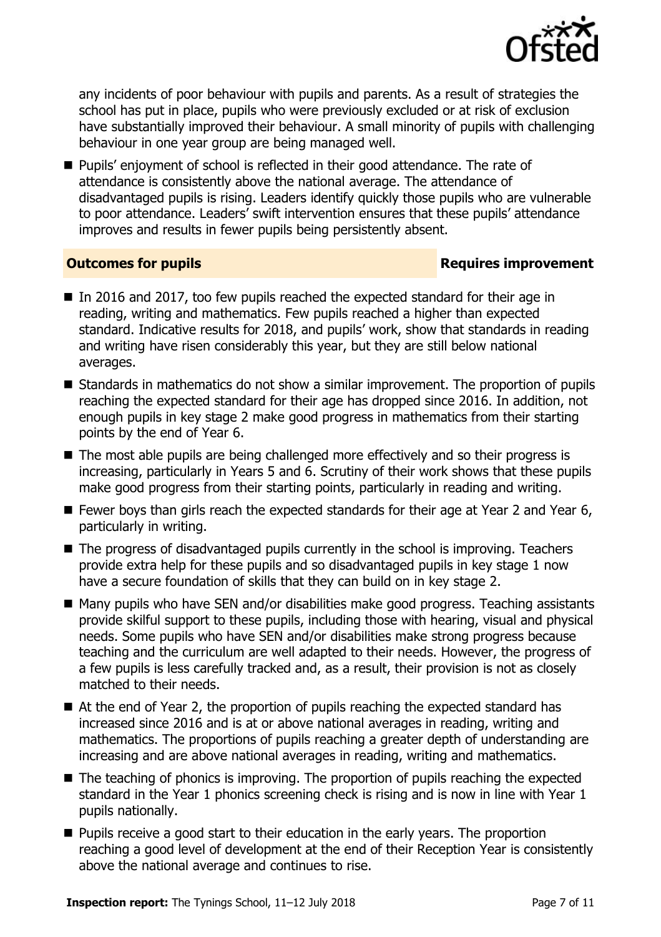

any incidents of poor behaviour with pupils and parents. As a result of strategies the school has put in place, pupils who were previously excluded or at risk of exclusion have substantially improved their behaviour. A small minority of pupils with challenging behaviour in one year group are being managed well.

**Pupils'** enjoyment of school is reflected in their good attendance. The rate of attendance is consistently above the national average. The attendance of disadvantaged pupils is rising. Leaders identify quickly those pupils who are vulnerable to poor attendance. Leaders' swift intervention ensures that these pupils' attendance improves and results in fewer pupils being persistently absent.

### **Outcomes for pupils Requires improvement**

- In 2016 and 2017, too few pupils reached the expected standard for their age in reading, writing and mathematics. Few pupils reached a higher than expected standard. Indicative results for 2018, and pupils' work, show that standards in reading and writing have risen considerably this year, but they are still below national averages.
- Standards in mathematics do not show a similar improvement. The proportion of pupils reaching the expected standard for their age has dropped since 2016. In addition, not enough pupils in key stage 2 make good progress in mathematics from their starting points by the end of Year 6.
- The most able pupils are being challenged more effectively and so their progress is increasing, particularly in Years 5 and 6. Scrutiny of their work shows that these pupils make good progress from their starting points, particularly in reading and writing.
- Fewer boys than girls reach the expected standards for their age at Year 2 and Year 6, particularly in writing.
- The progress of disadvantaged pupils currently in the school is improving. Teachers provide extra help for these pupils and so disadvantaged pupils in key stage 1 now have a secure foundation of skills that they can build on in key stage 2.
- Many pupils who have SEN and/or disabilities make good progress. Teaching assistants provide skilful support to these pupils, including those with hearing, visual and physical needs. Some pupils who have SEN and/or disabilities make strong progress because teaching and the curriculum are well adapted to their needs. However, the progress of a few pupils is less carefully tracked and, as a result, their provision is not as closely matched to their needs.
- At the end of Year 2, the proportion of pupils reaching the expected standard has increased since 2016 and is at or above national averages in reading, writing and mathematics. The proportions of pupils reaching a greater depth of understanding are increasing and are above national averages in reading, writing and mathematics.
- The teaching of phonics is improving. The proportion of pupils reaching the expected standard in the Year 1 phonics screening check is rising and is now in line with Year 1 pupils nationally.
- **Pupils receive a good start to their education in the early years. The proportion** reaching a good level of development at the end of their Reception Year is consistently above the national average and continues to rise.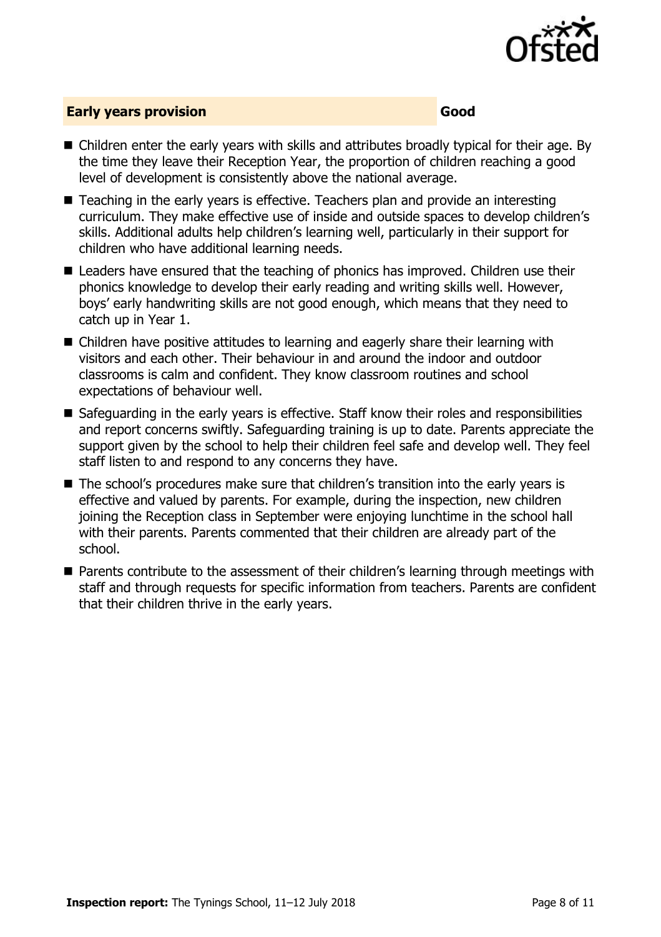

### **Early years provision Good Good**

- Children enter the early years with skills and attributes broadly typical for their age. By the time they leave their Reception Year, the proportion of children reaching a good level of development is consistently above the national average.
- Teaching in the early years is effective. Teachers plan and provide an interesting curriculum. They make effective use of inside and outside spaces to develop children's skills. Additional adults help children's learning well, particularly in their support for children who have additional learning needs.
- Leaders have ensured that the teaching of phonics has improved. Children use their phonics knowledge to develop their early reading and writing skills well. However, boys' early handwriting skills are not good enough, which means that they need to catch up in Year 1.
- Children have positive attitudes to learning and eagerly share their learning with visitors and each other. Their behaviour in and around the indoor and outdoor classrooms is calm and confident. They know classroom routines and school expectations of behaviour well.
- Safeguarding in the early years is effective. Staff know their roles and responsibilities and report concerns swiftly. Safeguarding training is up to date. Parents appreciate the support given by the school to help their children feel safe and develop well. They feel staff listen to and respond to any concerns they have.
- The school's procedures make sure that children's transition into the early years is effective and valued by parents. For example, during the inspection, new children joining the Reception class in September were enjoying lunchtime in the school hall with their parents. Parents commented that their children are already part of the school.
- Parents contribute to the assessment of their children's learning through meetings with staff and through requests for specific information from teachers. Parents are confident that their children thrive in the early years.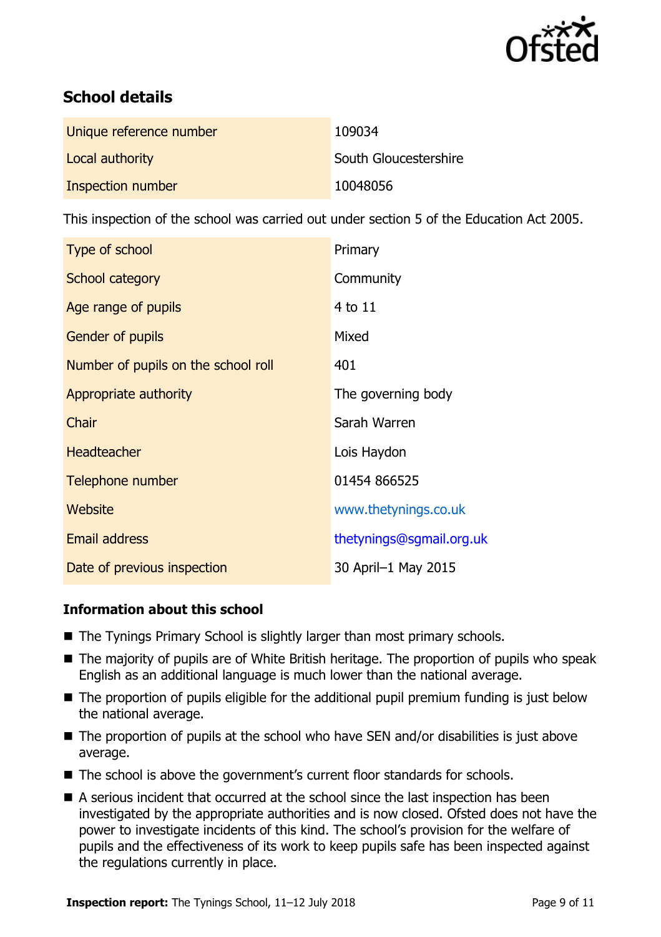

# **School details**

| Unique reference number | 109034                |
|-------------------------|-----------------------|
| Local authority         | South Gloucestershire |
| Inspection number       | 10048056              |

This inspection of the school was carried out under section 5 of the Education Act 2005.

| Type of school                      | Primary                  |
|-------------------------------------|--------------------------|
| School category                     | Community                |
| Age range of pupils                 | 4 to 11                  |
| Gender of pupils                    | Mixed                    |
| Number of pupils on the school roll | 401                      |
| Appropriate authority               | The governing body       |
| Chair                               | Sarah Warren             |
| <b>Headteacher</b>                  | Lois Haydon              |
| Telephone number                    | 01454 866525             |
| Website                             | www.thetynings.co.uk     |
| <b>Email address</b>                | thetynings@sgmail.org.uk |
| Date of previous inspection         | 30 April-1 May 2015      |

### **Information about this school**

- The Tynings Primary School is slightly larger than most primary schools.
- The majority of pupils are of White British heritage. The proportion of pupils who speak English as an additional language is much lower than the national average.
- The proportion of pupils eligible for the additional pupil premium funding is just below the national average.
- $\blacksquare$  The proportion of pupils at the school who have SEN and/or disabilities is just above average.
- The school is above the government's current floor standards for schools.
- A serious incident that occurred at the school since the last inspection has been investigated by the appropriate authorities and is now closed. Ofsted does not have the power to investigate incidents of this kind. The school's provision for the welfare of pupils and the effectiveness of its work to keep pupils safe has been inspected against the regulations currently in place.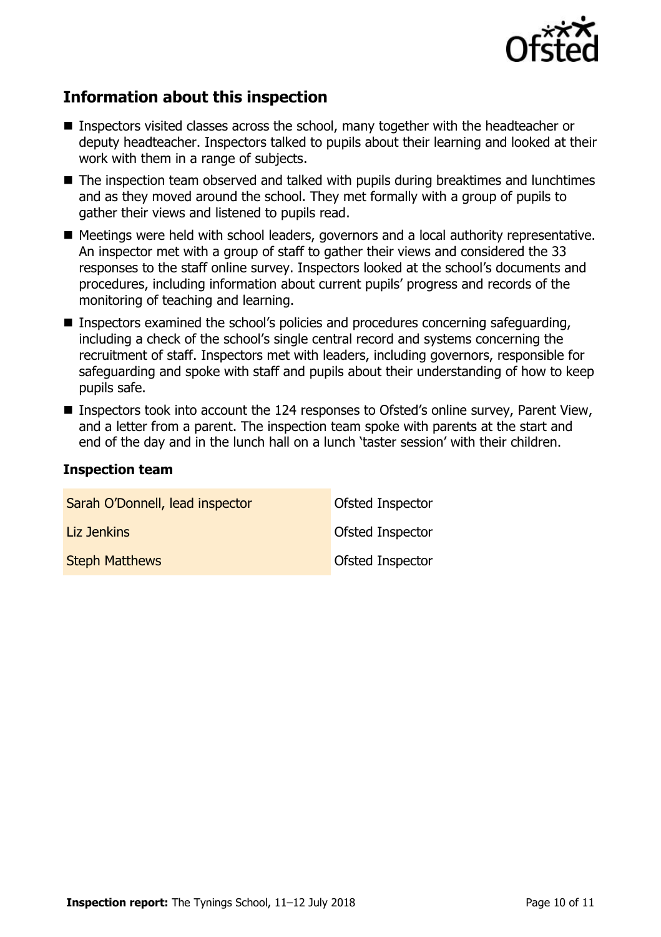

# **Information about this inspection**

- Inspectors visited classes across the school, many together with the headteacher or deputy headteacher. Inspectors talked to pupils about their learning and looked at their work with them in a range of subjects.
- The inspection team observed and talked with pupils during breaktimes and lunchtimes and as they moved around the school. They met formally with a group of pupils to gather their views and listened to pupils read.
- Meetings were held with school leaders, governors and a local authority representative. An inspector met with a group of staff to gather their views and considered the 33 responses to the staff online survey. Inspectors looked at the school's documents and procedures, including information about current pupils' progress and records of the monitoring of teaching and learning.
- **Inspectors examined the school's policies and procedures concerning safeguarding,** including a check of the school's single central record and systems concerning the recruitment of staff. Inspectors met with leaders, including governors, responsible for safeguarding and spoke with staff and pupils about their understanding of how to keep pupils safe.
- Inspectors took into account the 124 responses to Ofsted's online survey, Parent View, and a letter from a parent. The inspection team spoke with parents at the start and end of the day and in the lunch hall on a lunch 'taster session' with their children.

### **Inspection team**

| Sarah O'Donnell, lead inspector | Ofsted Inspector        |
|---------------------------------|-------------------------|
| Liz Jenkins                     | <b>Ofsted Inspector</b> |
| <b>Steph Matthews</b>           | Ofsted Inspector        |